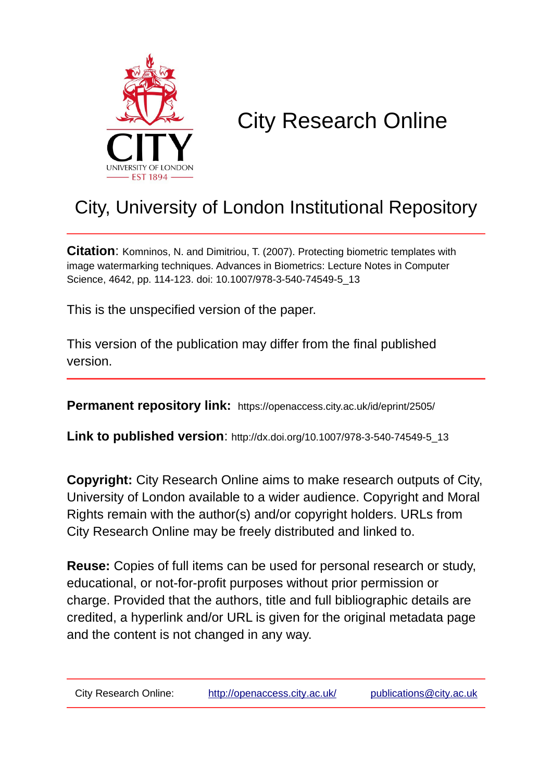

# City Research Online

## City, University of London Institutional Repository

**Citation**: Komninos, N. and Dimitriou, T. (2007). Protecting biometric templates with image watermarking techniques. Advances in Biometrics: Lecture Notes in Computer Science, 4642, pp. 114-123. doi: 10.1007/978-3-540-74549-5\_13

This is the unspecified version of the paper.

This version of the publication may differ from the final published version.

**Permanent repository link:** https://openaccess.city.ac.uk/id/eprint/2505/

**Link to published version:** http://dx.doi.org/10.1007/978-3-540-74549-5\_13

**Copyright:** City Research Online aims to make research outputs of City, University of London available to a wider audience. Copyright and Moral Rights remain with the author(s) and/or copyright holders. URLs from City Research Online may be freely distributed and linked to.

**Reuse:** Copies of full items can be used for personal research or study, educational, or not-for-profit purposes without prior permission or charge. Provided that the authors, title and full bibliographic details are credited, a hyperlink and/or URL is given for the original metadata page and the content is not changed in any way.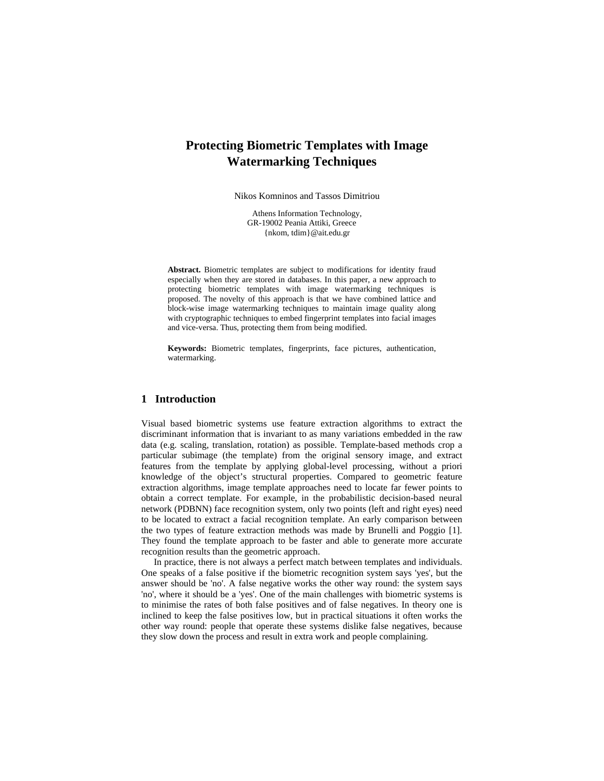### **Protecting Biometric Templates with Image Watermarking Techniques**

Nikos Komninos and Tassos Dimitriou

Athens Information Technology, GR-19002 Peania Attiki, Greece {nkom, tdim}@ait.edu.gr

**Abstract.** Biometric templates are subject to modifications for identity fraud especially when they are stored in databases. In this paper, a new approach to protecting biometric templates with image watermarking techniques is proposed. The novelty of this approach is that we have combined lattice and block-wise image watermarking techniques to maintain image quality along with cryptographic techniques to embed fingerprint templates into facial images and vice-versa. Thus, protecting them from being modified.

**Keywords:** Biometric templates, fingerprints, face pictures, authentication, watermarking.

#### **1 Introduction**

Visual based biometric systems use feature extraction algorithms to extract the discriminant information that is invariant to as many variations embedded in the raw data (e.g. scaling, translation, rotation) as possible. Template-based methods crop a particular subimage (the template) from the original sensory image, and extract features from the template by applying global-level processing, without a priori knowledge of the object's structural properties. Compared to geometric feature extraction algorithms, image template approaches need to locate far fewer points to obtain a correct template. For example, in the probabilistic decision-based neural network (PDBNN) face recognition system, only two points (left and right eyes) need to be located to extract a facial recognition template. An early comparison between the two types of feature extraction methods was made by Brunelli and Poggio [1]. They found the template approach to be faster and able to generate more accurate recognition results than the geometric approach.

In practice, there is not always a perfect match between templates and individuals. One speaks of a false positive if the biometric recognition system says 'yes', but the answer should be 'no'. A false negative works the other way round: the system says 'no', where it should be a 'yes'. One of the main challenges with biometric systems is to minimise the rates of both false positives and of false negatives. In theory one is inclined to keep the false positives low, but in practical situations it often works the other way round: people that operate these systems dislike false negatives, because they slow down the process and result in extra work and people complaining.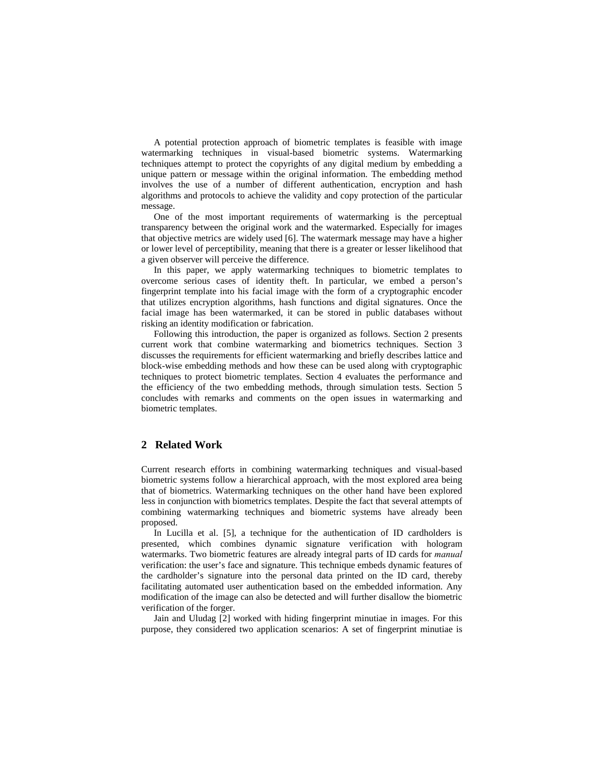A potential protection approach of biometric templates is feasible with image watermarking techniques in visual-based biometric systems. Watermarking techniques attempt to protect the copyrights of any digital medium by embedding a unique pattern or message within the original information. The embedding method involves the use of a number of different authentication, encryption and hash algorithms and protocols to achieve the validity and copy protection of the particular message.

One of the most important requirements of watermarking is the perceptual transparency between the original work and the watermarked. Especially for images that objective metrics are widely used [6]. The watermark message may have a higher or lower level of perceptibility, meaning that there is a greater or lesser likelihood that a given observer will perceive the difference.

In this paper, we apply watermarking techniques to biometric templates to overcome serious cases of identity theft. In particular, we embed a person's fingerprint template into his facial image with the form of a cryptographic encoder that utilizes encryption algorithms, hash functions and digital signatures. Once the facial image has been watermarked, it can be stored in public databases without risking an identity modification or fabrication.

Following this introduction, the paper is organized as follows. Section 2 presents current work that combine watermarking and biometrics techniques. Section 3 discusses the requirements for efficient watermarking and briefly describes lattice and block-wise embedding methods and how these can be used along with cryptographic techniques to protect biometric templates. Section 4 evaluates the performance and the efficiency of the two embedding methods, through simulation tests. Section 5 concludes with remarks and comments on the open issues in watermarking and biometric templates.

#### **2 Related Work**

Current research efforts in combining watermarking techniques and visual-based biometric systems follow a hierarchical approach, with the most explored area being that of biometrics. Watermarking techniques on the other hand have been explored less in conjunction with biometrics templates. Despite the fact that several attempts of combining watermarking techniques and biometric systems have already been proposed.

In Lucilla et al. [5], a technique for the authentication of ID cardholders is presented, which combines dynamic signature verification with hologram watermarks. Two biometric features are already integral parts of ID cards for *manual* verification: the user's face and signature. This technique embeds dynamic features of the cardholder's signature into the personal data printed on the ID card, thereby facilitating automated user authentication based on the embedded information. Any modification of the image can also be detected and will further disallow the biometric verification of the forger.

Jain and Uludag [2] worked with hiding fingerprint minutiae in images. For this purpose, they considered two application scenarios: A set of fingerprint minutiae is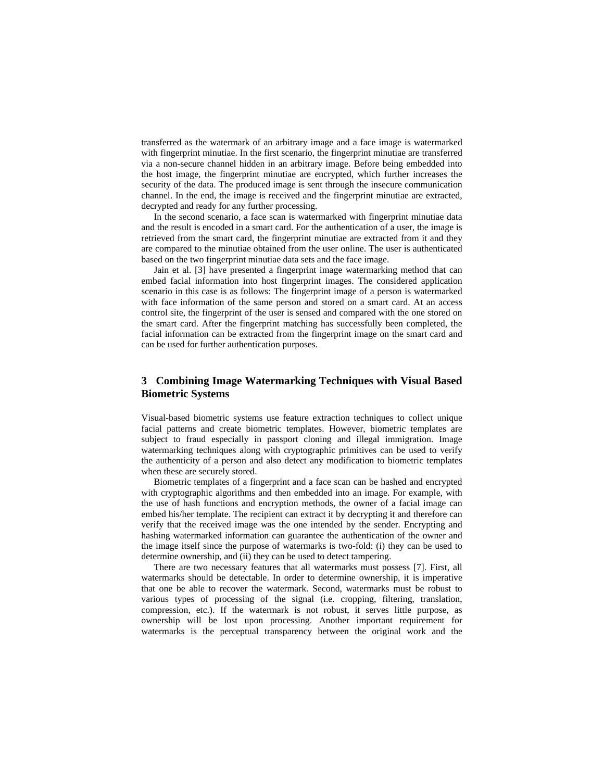transferred as the watermark of an arbitrary image and a face image is watermarked with fingerprint minutiae. In the first scenario, the fingerprint minutiae are transferred via a non-secure channel hidden in an arbitrary image. Before being embedded into the host image, the fingerprint minutiae are encrypted, which further increases the security of the data. The produced image is sent through the insecure communication channel. In the end, the image is received and the fingerprint minutiae are extracted, decrypted and ready for any further processing.

In the second scenario, a face scan is watermarked with fingerprint minutiae data and the result is encoded in a smart card. For the authentication of a user, the image is retrieved from the smart card, the fingerprint minutiae are extracted from it and they are compared to the minutiae obtained from the user online. The user is authenticated based on the two fingerprint minutiae data sets and the face image.

Jain et al. [3] have presented a fingerprint image watermarking method that can embed facial information into host fingerprint images. The considered application scenario in this case is as follows: The fingerprint image of a person is watermarked with face information of the same person and stored on a smart card. At an access control site, the fingerprint of the user is sensed and compared with the one stored on the smart card. After the fingerprint matching has successfully been completed, the facial information can be extracted from the fingerprint image on the smart card and can be used for further authentication purposes.

#### **3 Combining Image Watermarking Techniques with Visual Based Biometric Systems**

Visual-based biometric systems use feature extraction techniques to collect unique facial patterns and create biometric templates. However, biometric templates are subject to fraud especially in passport cloning and illegal immigration. Image watermarking techniques along with cryptographic primitives can be used to verify the authenticity of a person and also detect any modification to biometric templates when these are securely stored.

Biometric templates of a fingerprint and a face scan can be hashed and encrypted with cryptographic algorithms and then embedded into an image. For example, with the use of hash functions and encryption methods, the owner of a facial image can embed his/her template. The recipient can extract it by decrypting it and therefore can verify that the received image was the one intended by the sender. Encrypting and hashing watermarked information can guarantee the authentication of the owner and the image itself since the purpose of watermarks is two-fold: (i) they can be used to determine ownership, and (ii) they can be used to detect tampering.

There are two necessary features that all watermarks must possess [7]. First, all watermarks should be detectable. In order to determine ownership, it is imperative that one be able to recover the watermark. Second, watermarks must be robust to various types of processing of the signal (i.e. cropping, filtering, translation, compression, etc.). If the watermark is not robust, it serves little purpose, as ownership will be lost upon processing. Another important requirement for watermarks is the perceptual transparency between the original work and the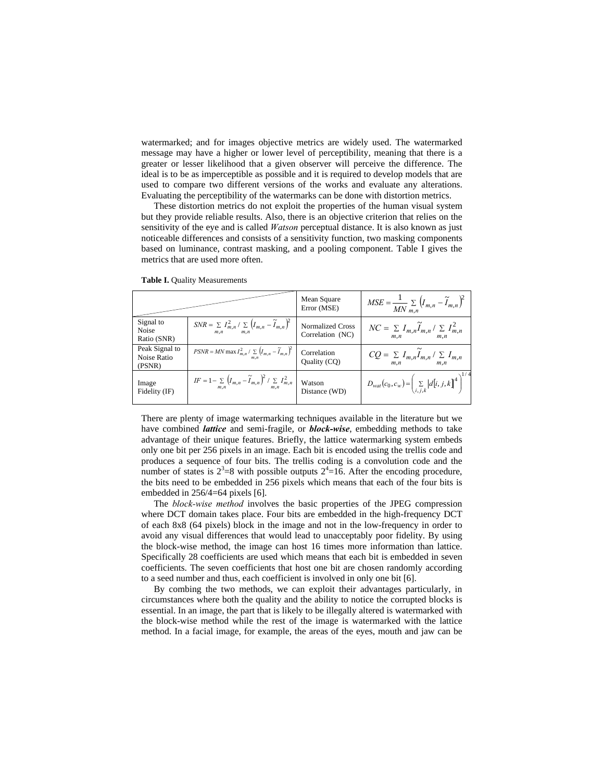watermarked; and for images objective metrics are widely used. The watermarked message may have a higher or lower level of perceptibility, meaning that there is a greater or lesser likelihood that a given observer will perceive the difference. The ideal is to be as imperceptible as possible and it is required to develop models that are used to compare two different versions of the works and evaluate any alterations. Evaluating the perceptibility of the watermarks can be done with distortion metrics.

These distortion metrics do not exploit the properties of the human visual system but they provide reliable results. Also, there is an objective criterion that relies on the sensitivity of the eye and is called *Watson* perceptual distance. It is also known as just noticeable differences and consists of a sensitivity function, two masking components based on luminance, contrast masking, and a pooling component. Table I gives the metrics that are used more often.

|                                         |                                                                                | Mean Square<br>Error (MSE)           | $MSE = \frac{1}{MN} \sum_{m,n} (I_{m,n} - \widetilde{I}_{m,n})^2$    |
|-----------------------------------------|--------------------------------------------------------------------------------|--------------------------------------|----------------------------------------------------------------------|
| Signal to<br>Noise<br>Ratio (SNR)       | $SNR = \sum_{m,n} I_{m,n}^2 / \sum_{m,n} (I_{m,n} - \widetilde{I}_{m,n})^2$    | Normalized Cross<br>Correlation (NC) | $NC = \sum I_{m,n} \tilde{I}_{m,n} / \sum I_{m,n}^2$<br>m.n<br>m.n   |
| Peak Signal to<br>Noise Ratio<br>(PSNR) | $PSNR = MN \max I_{m,n}^2 / \sum_{m,n} (I_{m,n} - \widetilde{I}_{m,n})^2$      | Correlation<br>Quality (CQ)          | $CQ = \sum I_{m,n} \widetilde{I}_{m,n} / \sum I_{m,n}$<br>m.n<br>m.n |
| Image<br>Fidelity (IF)                  | $IF = 1 - \sum_{m,n} (I_{m,n} - \widetilde{I}_{m,n})^2 / \sum_{m,n} I_{m,n}^2$ | Watson<br>Distance (WD)              | $D_{wat}(c_0, c_w) = \left(\sum_{i.i.k}  d[i,j,k] ^4\right)^{1/4}$   |

**Table I.** Quality Measurements

There are plenty of image watermarking techniques available in the literature but we have combined *lattice* and semi-fragile, or *block-wise*, embedding methods to take advantage of their unique features. Briefly, the lattice watermarking system embeds only one bit per 256 pixels in an image. Each bit is encoded using the trellis code and produces a sequence of four bits. The trellis coding is a convolution code and the number of states is  $2^3=8$  with possible outputs  $2^4=16$ . After the encoding procedure, the bits need to be embedded in 256 pixels which means that each of the four bits is embedded in 256/4=64 pixels [6].

The *block-wise method* involves the basic properties of the JPEG compression where DCT domain takes place. Four bits are embedded in the high-frequency DCT of each 8x8 (64 pixels) block in the image and not in the low-frequency in order to avoid any visual differences that would lead to unacceptably poor fidelity. By using the block-wise method, the image can host 16 times more information than lattice. Specifically 28 coefficients are used which means that each bit is embedded in seven coefficients. The seven coefficients that host one bit are chosen randomly according to a seed number and thus, each coefficient is involved in only one bit [6].

By combing the two methods, we can exploit their advantages particularly, in circumstances where both the quality and the ability to notice the corrupted blocks is essential. In an image, the part that is likely to be illegally altered is watermarked with the block-wise method while the rest of the image is watermarked with the lattice method. In a facial image, for example, the areas of the eyes, mouth and jaw can be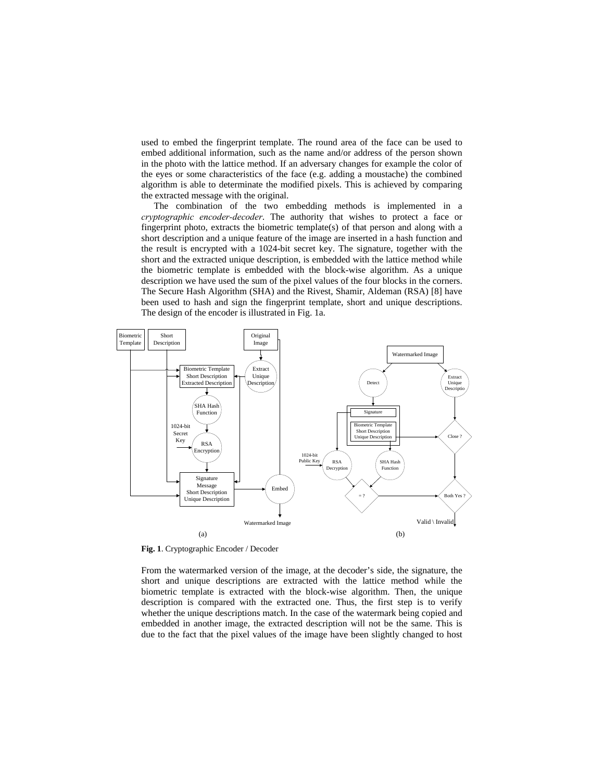used to embed the fingerprint template. The round area of the face can be used to embed additional information, such as the name and/or address of the person shown in the photo with the lattice method. If an adversary changes for example the color of the eyes or some characteristics of the face (e.g. adding a moustache) the combined algorithm is able to determinate the modified pixels. This is achieved by comparing the extracted message with the original.

The combination of the two embedding methods is implemented in a *cryptographic encoder-decoder*. The authority that wishes to protect a face or fingerprint photo, extracts the biometric template(s) of that person and along with a short description and a unique feature of the image are inserted in a hash function and the result is encrypted with a 1024-bit secret key. The signature, together with the short and the extracted unique description, is embedded with the lattice method while the biometric template is embedded with the block-wise algorithm. As a unique description we have used the sum of the pixel values of the four blocks in the corners. The Secure Hash Algorithm (SHA) and the Rivest, Shamir, Aldeman (RSA) [8] have been used to hash and sign the fingerprint template, short and unique descriptions. The design of the encoder is illustrated in Fig. 1a.



**Fig. 1**. Cryptographic Encoder / Decoder

From the watermarked version of the image, at the decoder's side, the signature, the short and unique descriptions are extracted with the lattice method while the biometric template is extracted with the block-wise algorithm. Then, the unique description is compared with the extracted one. Thus, the first step is to verify whether the unique descriptions match. In the case of the watermark being copied and embedded in another image, the extracted description will not be the same. This is due to the fact that the pixel values of the image have been slightly changed to host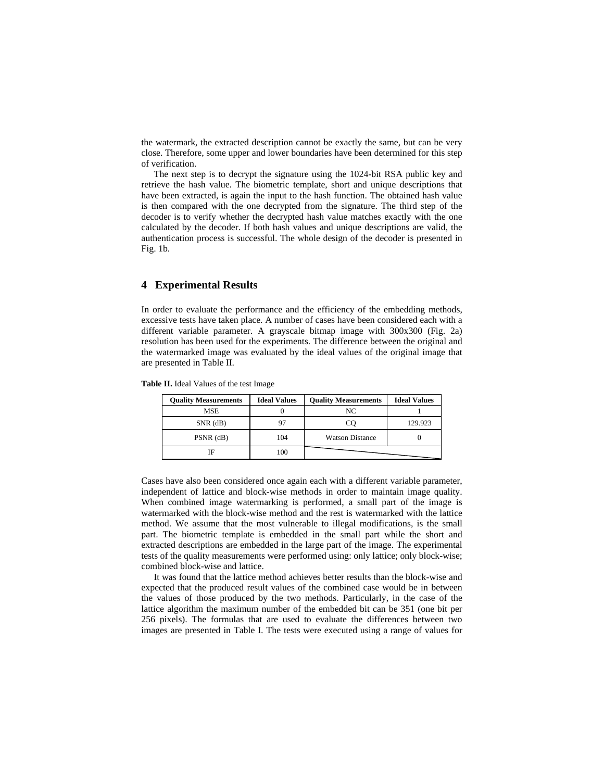the watermark, the extracted description cannot be exactly the same, but can be very close. Therefore, some upper and lower boundaries have been determined for this step of verification.

The next step is to decrypt the signature using the 1024-bit RSA public key and retrieve the hash value. The biometric template, short and unique descriptions that have been extracted, is again the input to the hash function. The obtained hash value is then compared with the one decrypted from the signature. The third step of the decoder is to verify whether the decrypted hash value matches exactly with the one calculated by the decoder. If both hash values and unique descriptions are valid, the authentication process is successful. The whole design of the decoder is presented in Fig. 1b.

#### **4 Experimental Results**

In order to evaluate the performance and the efficiency of the embedding methods, excessive tests have taken place. A number of cases have been considered each with a different variable parameter. A grayscale bitmap image with 300x300 (Fig. 2a) resolution has been used for the experiments. The difference between the original and the watermarked image was evaluated by the ideal values of the original image that are presented in Table II.

| <b>Quality Measurements</b> | <b>Ideal Values</b> | <b>Quality Measurements</b> | <b>Ideal Values</b> |
|-----------------------------|---------------------|-----------------------------|---------------------|
| <b>MSE</b>                  |                     | NC                          |                     |
| $SNR$ (dB)                  | 97                  |                             | 129.923             |
| $PSNR$ (dB)                 | 104                 | <b>Watson Distance</b>      |                     |
| ΙF                          | 100                 |                             |                     |

**Table II.** Ideal Values of the test Image

Cases have also been considered once again each with a different variable parameter, independent of lattice and block-wise methods in order to maintain image quality. When combined image watermarking is performed, a small part of the image is watermarked with the block-wise method and the rest is watermarked with the lattice method. We assume that the most vulnerable to illegal modifications, is the small part. The biometric template is embedded in the small part while the short and extracted descriptions are embedded in the large part of the image. The experimental tests of the quality measurements were performed using: only lattice; only block-wise; combined block-wise and lattice.

It was found that the lattice method achieves better results than the block-wise and expected that the produced result values of the combined case would be in between the values of those produced by the two methods. Particularly, in the case of the lattice algorithm the maximum number of the embedded bit can be 351 (one bit per 256 pixels). The formulas that are used to evaluate the differences between two images are presented in Table I. The tests were executed using a range of values for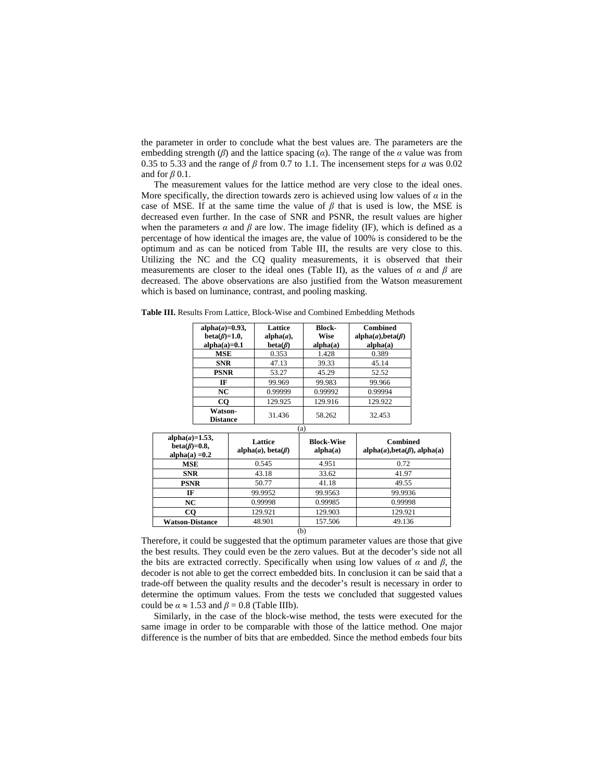the parameter in order to conclude what the best values are. The parameters are the embedding strength ( $\beta$ ) and the lattice spacing ( $\alpha$ ). The range of the  $\alpha$  value was from 0.35 to 5.33 and the range of *β* from 0.7 to 1.1. The incensement steps for *a* was 0.02 and for *β* 0.1.

The measurement values for the lattice method are very close to the ideal ones. More specifically, the direction towards zero is achieved using low values of *α* in the case of MSE. If at the same time the value of  $\beta$  that is used is low, the MSE is decreased even further. In the case of SNR and PSNR, the result values are higher when the parameters  $\alpha$  and  $\beta$  are low. The image fidelity (IF), which is defined as a percentage of how identical the images are, the value of 100% is considered to be the optimum and as can be noticed from Table III, the results are very close to this. Utilizing the NC and the CQ quality measurements, it is observed that their measurements are closer to the ideal ones (Table II), as the values of  $\alpha$  and  $\beta$  are decreased. The above observations are also justified from the Watson measurement which is based on luminance, contrast, and pooling masking.

| alpha $(a)=0.93$ ,<br>beta $(\beta)$ =1.0,<br>alpha $(a)=0.1$ | Lattice<br>alpha(a),<br>$beta(\beta)$ | <b>Block-</b><br>Wise<br>alpha(a) | <b>Combined</b><br>$alpha(a), beta(\beta)$<br>alpha(a) |
|---------------------------------------------------------------|---------------------------------------|-----------------------------------|--------------------------------------------------------|
| MSE                                                           | 0.353                                 | 1.428                             | 0.389                                                  |
| <b>SNR</b>                                                    | 47.13                                 | 39.33                             | 45.14                                                  |
| <b>PSNR</b>                                                   | 53.27                                 | 45.29                             | 52.52                                                  |
| IF                                                            | 99.969                                | 99.983                            | 99.966                                                 |
| NC                                                            | 0.99999                               | 0.99992                           | 0.99994                                                |
| CO.                                                           | 129.925                               | 129.916                           | 129.922                                                |
| Watson-<br><b>Distance</b>                                    | 31.436                                | 58.262                            | 32.453                                                 |
|                                                               |                                       | (a)                               |                                                        |
| $a(a)=1.53,$<br>~ <i>co</i> ^ ^ 0                             | <b>Lattice</b>                        | <b>Block-Wise</b>                 | Combined                                               |

**Table III.** Results From Lattice, Block-Wise and Combined Embedding Methods

|                                                               |                                    | (a)                           |                                                      |
|---------------------------------------------------------------|------------------------------------|-------------------------------|------------------------------------------------------|
| alpha $(a)=1.53$ ,<br>beta $(\beta)=0.8$ ,<br>alpha(a) $=0.2$ | Lattice<br>$alpha(a), beta(\beta)$ | <b>Block-Wise</b><br>alpha(a) | <b>Combined</b><br>$alpha(a), beta(\beta), alpha(a)$ |
| <b>MSE</b>                                                    | 0.545                              | 4.951                         | 0.72                                                 |
| <b>SNR</b>                                                    | 43.18                              | 33.62                         | 41.97                                                |
| <b>PSNR</b>                                                   | 50.77                              | 41.18                         | 49.55                                                |
| IF                                                            | 99.9952                            | 99.9563                       | 99.9936                                              |
| NC                                                            | 0.99998                            | 0.99985                       | 0.99998                                              |
| CO                                                            | 129.921                            | 129.903                       | 129.921                                              |
| <b>Watson-Distance</b>                                        | 48.901                             | 157.506                       | 49.136                                               |
|                                                               |                                    | (1)                           |                                                      |

#### (b)

Therefore, it could be suggested that the optimum parameter values are those that give the best results. They could even be the zero values. But at the decoder's side not all the bits are extracted correctly. Specifically when using low values of  $\alpha$  and  $\beta$ , the decoder is not able to get the correct embedded bits. In conclusion it can be said that a trade-off between the quality results and the decoder's result is necessary in order to determine the optimum values. From the tests we concluded that suggested values could be  $\alpha \approx 1.53$  and  $\beta = 0.8$  (Table IIIb).

Similarly, in the case of the block-wise method, the tests were executed for the same image in order to be comparable with those of the lattice method. One major difference is the number of bits that are embedded. Since the method embeds four bits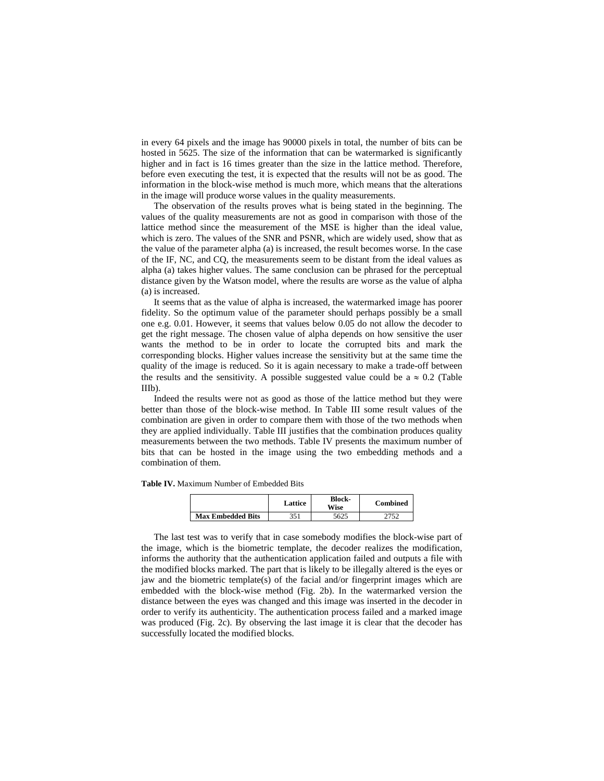in every 64 pixels and the image has 90000 pixels in total, the number of bits can be hosted in 5625. The size of the information that can be watermarked is significantly higher and in fact is 16 times greater than the size in the lattice method. Therefore, before even executing the test, it is expected that the results will not be as good. The information in the block-wise method is much more, which means that the alterations in the image will produce worse values in the quality measurements.

The observation of the results proves what is being stated in the beginning. The values of the quality measurements are not as good in comparison with those of the lattice method since the measurement of the MSE is higher than the ideal value, which is zero. The values of the SNR and PSNR, which are widely used, show that as the value of the parameter alpha (a) is increased, the result becomes worse. In the case of the IF, NC, and CQ, the measurements seem to be distant from the ideal values as alpha (a) takes higher values. The same conclusion can be phrased for the perceptual distance given by the Watson model, where the results are worse as the value of alpha (a) is increased.

It seems that as the value of alpha is increased, the watermarked image has poorer fidelity. So the optimum value of the parameter should perhaps possibly be a small one e.g. 0.01. However, it seems that values below 0.05 do not allow the decoder to get the right message. The chosen value of alpha depends on how sensitive the user wants the method to be in order to locate the corrupted bits and mark the corresponding blocks. Higher values increase the sensitivity but at the same time the quality of the image is reduced. So it is again necessary to make a trade-off between the results and the sensitivity. A possible suggested value could be a  $\approx 0.2$  (Table IIIb).

Indeed the results were not as good as those of the lattice method but they were better than those of the block-wise method. In Table III some result values of the combination are given in order to compare them with those of the two methods when they are applied individually. Table III justifies that the combination produces quality measurements between the two methods. Table IV presents the maximum number of bits that can be hosted in the image using the two embedding methods and a combination of them.

**Table IV.** Maximum Number of Embedded Bits

|                          | Lattice | <b>Block-</b><br>Wise | <b>Combined</b> |
|--------------------------|---------|-----------------------|-----------------|
| <b>Max Embedded Bits</b> | 351     | 5625                  | าวรา            |

The last test was to verify that in case somebody modifies the block-wise part of the image, which is the biometric template, the decoder realizes the modification, informs the authority that the authentication application failed and outputs a file with the modified blocks marked. The part that is likely to be illegally altered is the eyes or jaw and the biometric template(s) of the facial and/or fingerprint images which are embedded with the block-wise method (Fig. 2b). In the watermarked version the distance between the eyes was changed and this image was inserted in the decoder in order to verify its authenticity. The authentication process failed and a marked image was produced (Fig. 2c). By observing the last image it is clear that the decoder has successfully located the modified blocks.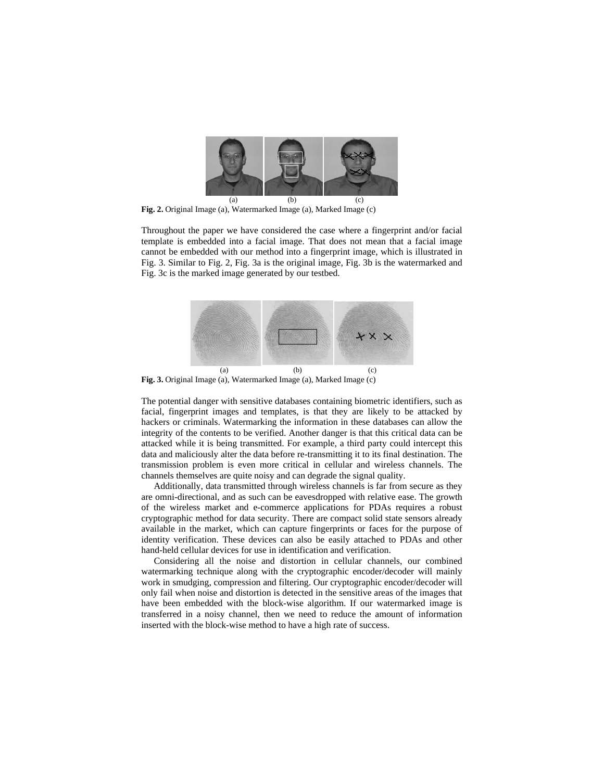

**Fig. 2.** Original Image (a), Watermarked Image (a), Marked Image (c)

Throughout the paper we have considered the case where a fingerprint and/or facial template is embedded into a facial image. That does not mean that a facial image cannot be embedded with our method into a fingerprint image, which is illustrated in Fig. 3. Similar to Fig. 2, Fig. 3a is the original image, Fig. 3b is the watermarked and Fig. 3c is the marked image generated by our testbed.



**Fig. 3.** Original Image (a), Watermarked Image (a), Marked Image (c)

The potential danger with sensitive databases containing biometric identifiers, such as facial, fingerprint images and templates, is that they are likely to be attacked by hackers or criminals. Watermarking the information in these databases can allow the integrity of the contents to be verified. Another danger is that this critical data can be attacked while it is being transmitted. For example, a third party could intercept this data and maliciously alter the data before re-transmitting it to its final destination. The transmission problem is even more critical in cellular and wireless channels. The channels themselves are quite noisy and can degrade the signal quality.

Additionally, data transmitted through wireless channels is far from secure as they are omni-directional, and as such can be eavesdropped with relative ease. The growth of the wireless market and e-commerce applications for PDAs requires a robust cryptographic method for data security. There are compact solid state sensors already available in the market, which can capture fingerprints or faces for the purpose of identity verification. These devices can also be easily attached to PDAs and other hand-held cellular devices for use in identification and verification.

Considering all the noise and distortion in cellular channels, our combined watermarking technique along with the cryptographic encoder/decoder will mainly work in smudging, compression and filtering. Our cryptographic encoder/decoder will only fail when noise and distortion is detected in the sensitive areas of the images that have been embedded with the block-wise algorithm. If our watermarked image is transferred in a noisy channel, then we need to reduce the amount of information inserted with the block-wise method to have a high rate of success.